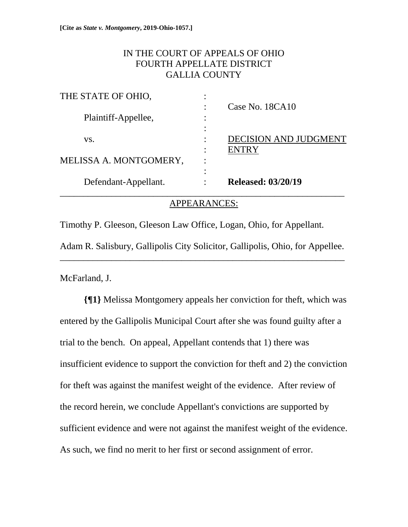# IN THE COURT OF APPEALS OF OHIO FOURTH APPELLATE DISTRICT GALLIA COUNTY

| Defendant-Appellant.   |           | <b>Released: 03/20/19</b>                    |
|------------------------|-----------|----------------------------------------------|
| MELISSA A. MONTGOMERY, | $\bullet$ |                                              |
| VS.                    | $\bullet$ | <b>DECISION AND JUDGMENT</b><br><b>ENTRY</b> |
| Plaintiff-Appellee,    |           |                                              |
| THE STATE OF OHIO,     |           | Case No. 18CA10                              |

## APPEARANCES:

Timothy P. Gleeson, Gleeson Law Office, Logan, Ohio, for Appellant. Adam R. Salisbury, Gallipolis City Solicitor, Gallipolis, Ohio, for Appellee. \_\_\_\_\_\_\_\_\_\_\_\_\_\_\_\_\_\_\_\_\_\_\_\_\_\_\_\_\_\_\_\_\_\_\_\_\_\_\_\_\_\_\_\_\_\_\_\_\_\_\_\_\_\_\_\_\_\_\_\_\_

McFarland, J.

**{¶1}** Melissa Montgomery appeals her conviction for theft, which was entered by the Gallipolis Municipal Court after she was found guilty after a trial to the bench. On appeal, Appellant contends that 1) there was insufficient evidence to support the conviction for theft and 2) the conviction for theft was against the manifest weight of the evidence. After review of the record herein, we conclude Appellant's convictions are supported by sufficient evidence and were not against the manifest weight of the evidence. As such, we find no merit to her first or second assignment of error.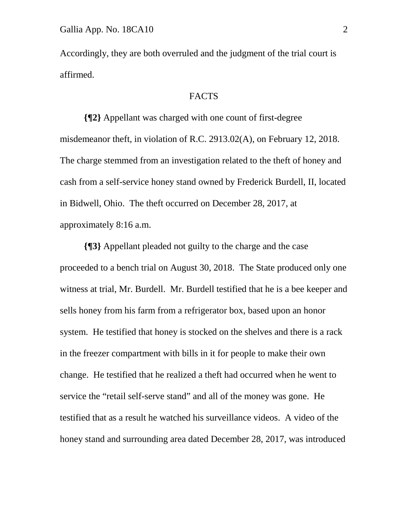Accordingly, they are both overruled and the judgment of the trial court is affirmed.

#### FACTS

**{¶2}** Appellant was charged with one count of first-degree misdemeanor theft, in violation of R.C. 2913.02(A), on February 12, 2018. The charge stemmed from an investigation related to the theft of honey and cash from a self-service honey stand owned by Frederick Burdell, II, located in Bidwell, Ohio. The theft occurred on December 28, 2017, at approximately 8:16 a.m.

**{¶3}** Appellant pleaded not guilty to the charge and the case proceeded to a bench trial on August 30, 2018. The State produced only one witness at trial, Mr. Burdell. Mr. Burdell testified that he is a bee keeper and sells honey from his farm from a refrigerator box, based upon an honor system. He testified that honey is stocked on the shelves and there is a rack in the freezer compartment with bills in it for people to make their own change. He testified that he realized a theft had occurred when he went to service the "retail self-serve stand" and all of the money was gone. He testified that as a result he watched his surveillance videos. A video of the honey stand and surrounding area dated December 28, 2017, was introduced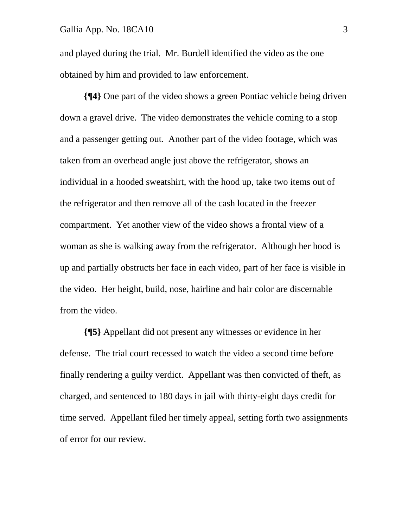#### Gallia App. No. 18CA10 3

and played during the trial. Mr. Burdell identified the video as the one obtained by him and provided to law enforcement.

**{¶4}** One part of the video shows a green Pontiac vehicle being driven down a gravel drive. The video demonstrates the vehicle coming to a stop and a passenger getting out. Another part of the video footage, which was taken from an overhead angle just above the refrigerator, shows an individual in a hooded sweatshirt, with the hood up, take two items out of the refrigerator and then remove all of the cash located in the freezer compartment. Yet another view of the video shows a frontal view of a woman as she is walking away from the refrigerator. Although her hood is up and partially obstructs her face in each video, part of her face is visible in the video. Her height, build, nose, hairline and hair color are discernable from the video.

**{¶5}** Appellant did not present any witnesses or evidence in her defense. The trial court recessed to watch the video a second time before finally rendering a guilty verdict. Appellant was then convicted of theft, as charged, and sentenced to 180 days in jail with thirty-eight days credit for time served. Appellant filed her timely appeal, setting forth two assignments of error for our review.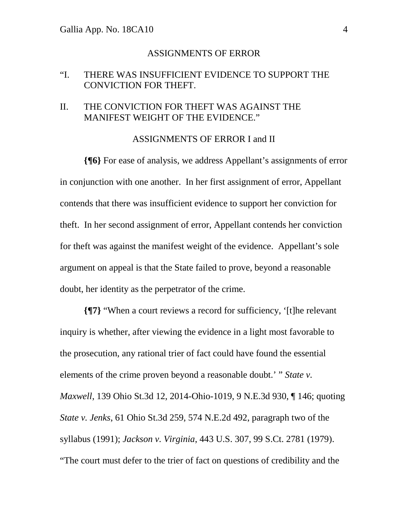#### ASSIGNMENTS OF ERROR

## "I. THERE WAS INSUFFICIENT EVIDENCE TO SUPPORT THE CONVICTION FOR THEFT.

## II. THE CONVICTION FOR THEFT WAS AGAINST THE MANIFEST WEIGHT OF THE EVIDENCE."

#### ASSIGNMENTS OF ERROR I and II

**{¶6}** For ease of analysis, we address Appellant's assignments of error in conjunction with one another. In her first assignment of error, Appellant contends that there was insufficient evidence to support her conviction for theft. In her second assignment of error, Appellant contends her conviction for theft was against the manifest weight of the evidence. Appellant's sole argument on appeal is that the State failed to prove, beyond a reasonable doubt, her identity as the perpetrator of the crime.

**{¶7}** "When a court reviews a record for sufficiency, '[t]he relevant inquiry is whether, after viewing the evidence in a light most favorable to the prosecution, any rational trier of fact could have found the essential elements of the crime proven beyond a reasonable doubt.' " *State v. Maxwell*, 139 Ohio St.3d 12, 2014-Ohio-1019, 9 N.E.3d 930, ¶ 146; quoting *State v. Jenks*, 61 Ohio St.3d 259, 574 N.E.2d 492, paragraph two of the syllabus (1991); *Jackson v. Virginia*, 443 U.S. 307, 99 S.Ct. 2781 (1979). "The court must defer to the trier of fact on questions of credibility and the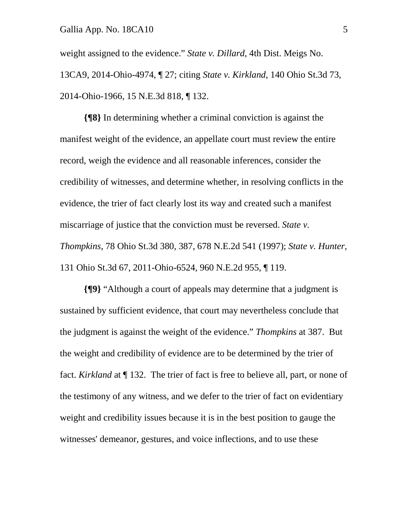weight assigned to the evidence." *State v. Dillard*, 4th Dist. Meigs No. 13CA9, 2014-Ohio-4974, ¶ 27; citing *State v. Kirkland*, 140 Ohio St.3d 73, 2014-Ohio-1966, 15 N.E.3d 818, ¶ 132.

**{¶8}** In determining whether a criminal conviction is against the manifest weight of the evidence, an appellate court must review the entire record, weigh the evidence and all reasonable inferences, consider the credibility of witnesses, and determine whether, in resolving conflicts in the evidence, the trier of fact clearly lost its way and created such a manifest miscarriage of justice that the conviction must be reversed. *State v. Thompkins*, 78 Ohio St.3d 380, 387, 678 N.E.2d 541 (1997); *State v. Hunter*, 131 Ohio St.3d 67, 2011-Ohio-6524, 960 N.E.2d 955, ¶ 119.

**{¶9}** "Although a court of appeals may determine that a judgment is sustained by sufficient evidence, that court may nevertheless conclude that the judgment is against the weight of the evidence." *Thompkins* at 387. But the weight and credibility of evidence are to be determined by the trier of fact. *Kirkland* at ¶ 132. The trier of fact is free to believe all, part, or none of the testimony of any witness, and we defer to the trier of fact on evidentiary weight and credibility issues because it is in the best position to gauge the witnesses' demeanor, gestures, and voice inflections, and to use these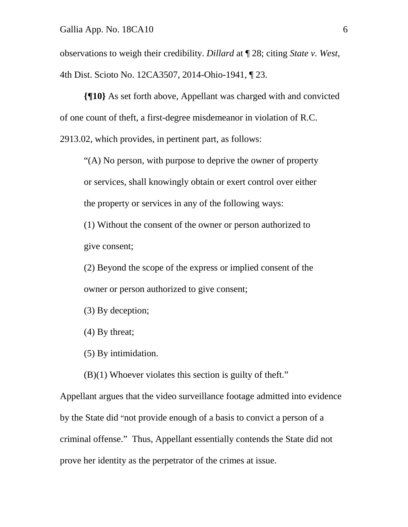observations to weigh their credibility. *Dillard* at ¶ 28; citing *State v. West*, 4th Dist. Scioto No. 12CA3507, 2014-Ohio-1941, ¶ 23.

**{¶10}** As set forth above, Appellant was charged with and convicted of one count of theft, a first-degree misdemeanor in violation of R.C. 2913.02, which provides, in pertinent part, as follows:

"(A) No person, with purpose to deprive the owner of property or services, shall knowingly obtain or exert control over either the property or services in any of the following ways:

(1) Without the consent of the owner or person authorized to give consent;

(2) Beyond the scope of the express or implied consent of the owner or person authorized to give consent;

(3) By deception;

(4) By threat;

(5) By intimidation.

(B)(1) Whoever violates this section is guilty of theft."

Appellant argues that the video surveillance footage admitted into evidence by the State did "not provide enough of a basis to convict a person of a criminal offense." Thus, Appellant essentially contends the State did not prove her identity as the perpetrator of the crimes at issue.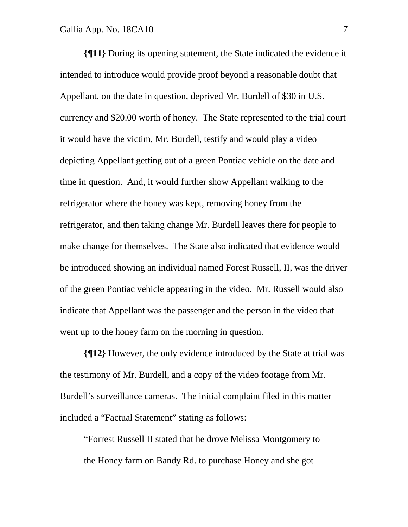**{¶11}** During its opening statement, the State indicated the evidence it intended to introduce would provide proof beyond a reasonable doubt that Appellant, on the date in question, deprived Mr. Burdell of \$30 in U.S. currency and \$20.00 worth of honey. The State represented to the trial court it would have the victim, Mr. Burdell, testify and would play a video depicting Appellant getting out of a green Pontiac vehicle on the date and time in question. And, it would further show Appellant walking to the refrigerator where the honey was kept, removing honey from the refrigerator, and then taking change Mr. Burdell leaves there for people to make change for themselves. The State also indicated that evidence would be introduced showing an individual named Forest Russell, II, was the driver of the green Pontiac vehicle appearing in the video. Mr. Russell would also indicate that Appellant was the passenger and the person in the video that went up to the honey farm on the morning in question.

**{¶12}** However, the only evidence introduced by the State at trial was the testimony of Mr. Burdell, and a copy of the video footage from Mr. Burdell's surveillance cameras. The initial complaint filed in this matter included a "Factual Statement" stating as follows:

"Forrest Russell II stated that he drove Melissa Montgomery to the Honey farm on Bandy Rd. to purchase Honey and she got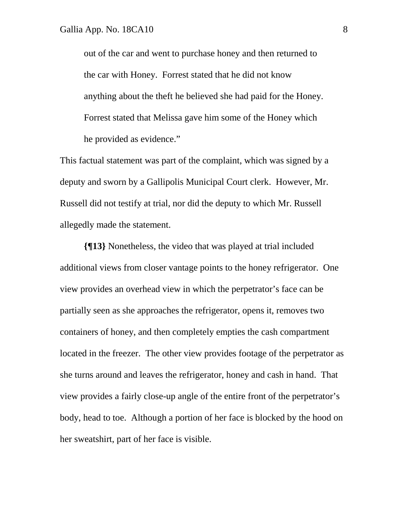out of the car and went to purchase honey and then returned to the car with Honey. Forrest stated that he did not know anything about the theft he believed she had paid for the Honey. Forrest stated that Melissa gave him some of the Honey which he provided as evidence."

This factual statement was part of the complaint, which was signed by a deputy and sworn by a Gallipolis Municipal Court clerk. However, Mr. Russell did not testify at trial, nor did the deputy to which Mr. Russell allegedly made the statement.

**{¶13}** Nonetheless, the video that was played at trial included additional views from closer vantage points to the honey refrigerator. One view provides an overhead view in which the perpetrator's face can be partially seen as she approaches the refrigerator, opens it, removes two containers of honey, and then completely empties the cash compartment located in the freezer. The other view provides footage of the perpetrator as she turns around and leaves the refrigerator, honey and cash in hand. That view provides a fairly close-up angle of the entire front of the perpetrator's body, head to toe. Although a portion of her face is blocked by the hood on her sweatshirt, part of her face is visible.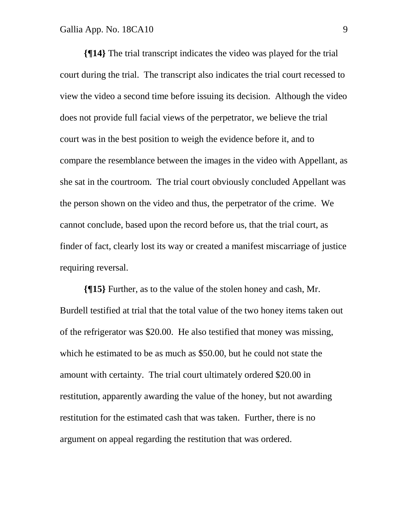**{¶14}** The trial transcript indicates the video was played for the trial court during the trial. The transcript also indicates the trial court recessed to view the video a second time before issuing its decision. Although the video does not provide full facial views of the perpetrator, we believe the trial court was in the best position to weigh the evidence before it, and to compare the resemblance between the images in the video with Appellant, as she sat in the courtroom. The trial court obviously concluded Appellant was the person shown on the video and thus, the perpetrator of the crime. We cannot conclude, based upon the record before us, that the trial court, as finder of fact, clearly lost its way or created a manifest miscarriage of justice requiring reversal.

**{¶15}** Further, as to the value of the stolen honey and cash, Mr. Burdell testified at trial that the total value of the two honey items taken out of the refrigerator was \$20.00. He also testified that money was missing, which he estimated to be as much as \$50.00, but he could not state the amount with certainty. The trial court ultimately ordered \$20.00 in restitution, apparently awarding the value of the honey, but not awarding restitution for the estimated cash that was taken. Further, there is no argument on appeal regarding the restitution that was ordered.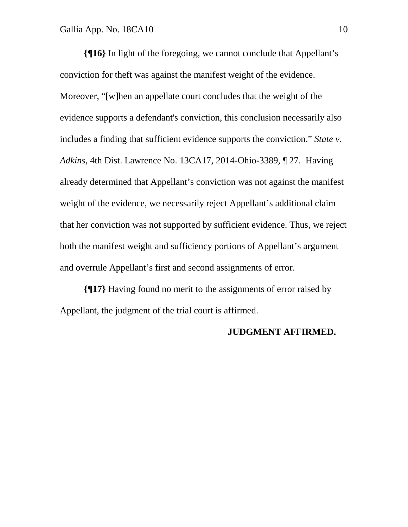**{¶16}** In light of the foregoing, we cannot conclude that Appellant's conviction for theft was against the manifest weight of the evidence. Moreover, "[w]hen an appellate court concludes that the weight of the evidence supports a defendant's conviction, this conclusion necessarily also includes a finding that sufficient evidence supports the conviction." *State v. Adkins*, 4th Dist. Lawrence No. 13CA17, 2014-Ohio-3389, ¶ 27. Having already determined that Appellant's conviction was not against the manifest weight of the evidence, we necessarily reject Appellant's additional claim that her conviction was not supported by sufficient evidence. Thus, we reject both the manifest weight and sufficiency portions of Appellant's argument and overrule Appellant's first and second assignments of error.

**{¶17}** Having found no merit to the assignments of error raised by Appellant, the judgment of the trial court is affirmed.

#### **JUDGMENT AFFIRMED.**